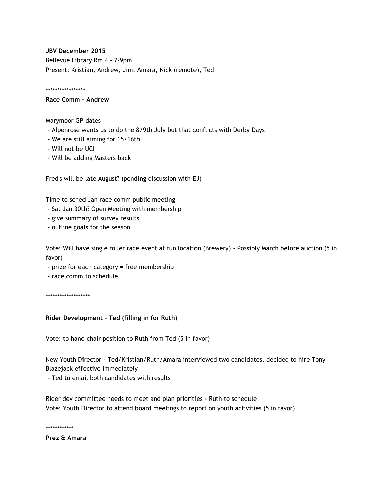**JBV December 2015** Bellevue Library Rm 4 - 7-9pm Present: Kristian, Andrew, Jim, Amara, Nick (remote), Ted

\*\*\*\*\*\*\*\*\*\*\*\*\*\*\*\*\*

## **Race Comm - Andrew**

Marymoor GP dates

- Alpenrose wants us to do the 8/9th July but that conflicts with Derby Days
- We are still aiming for 15/16th
- Will not be UCI
- Will be adding Masters back

Fred's will be late August? (pending discussion with EJ)

Time to sched Jan race comm public meeting

- Sat Jan 30th? Open Meeting with membership
- give summary of survey results
- outline goals for the season

Vote: Will have single roller race event at fun location (Brewery) - Possibly March before auction (5 in favor)

- prize for each category = free membership
- race comm to schedule

\*\*\*\*\*\*\*\*\*\*\*\*\*\*\*\*\*\*\*

**Rider Development - Ted (filling in for Ruth)**

Vote: to hand chair position to Ruth from Ted (5 in favor)

New Youth Director - Ted/Kristian/Ruth/Amara interviewed two candidates, decided to hire Tony Blazejack effective immediately

- Ted to email both candidates with results

Rider dev committee needs to meet and plan priorities - Ruth to schedule Vote: Youth Director to attend board meetings to report on youth activities (5 in favor)

\*\*\*\*\*\*\*\*\*\*\*\*

**Prez & Amara**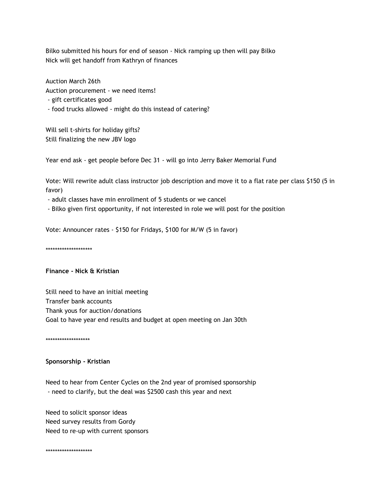Bilko submitted his hours for end of season - Nick ramping up then will pay Bilko Nick will get handoff from Kathryn of finances

Auction March 26th Auction procurement - we need items! - gift certificates good - food trucks allowed - might do this instead of catering?

Will sell t-shirts for holiday gifts? Still finalizing the new JBV logo

Year end ask - get people before Dec 31 - will go into Jerry Baker Memorial Fund

Vote: Will rewrite adult class instructor job description and move it to a flat rate per class \$150 (5 in favor)

- adult classes have min enrollment of 5 students or we cancel

- Bilko given first opportunity, if not interested in role we will post for the position

Vote: Announcer rates - \$150 for Fridays, \$100 for M/W (5 in favor)

\*\*\*\*\*\*\*\*\*\*\*\*\*\*\*\*\*\*\*\*

## **Finance - Nick & Kristian**

Still need to have an initial meeting Transfer bank accounts Thank yous for auction/donations Goal to have year end results and budget at open meeting on Jan 30th

\*\*\*\*\*\*\*\*\*\*\*\*\*\*\*\*\*\*\*

## **Sponsorship - Kristian**

Need to hear from Center Cycles on the 2nd year of promised sponsorship - need to clarify, but the deal was \$2500 cash this year and next

Need to solicit sponsor ideas Need survey results from Gordy Need to re-up with current sponsors

\*\*\*\*\*\*\*\*\*\*\*\*\*\*\*\*\*\*\*\*